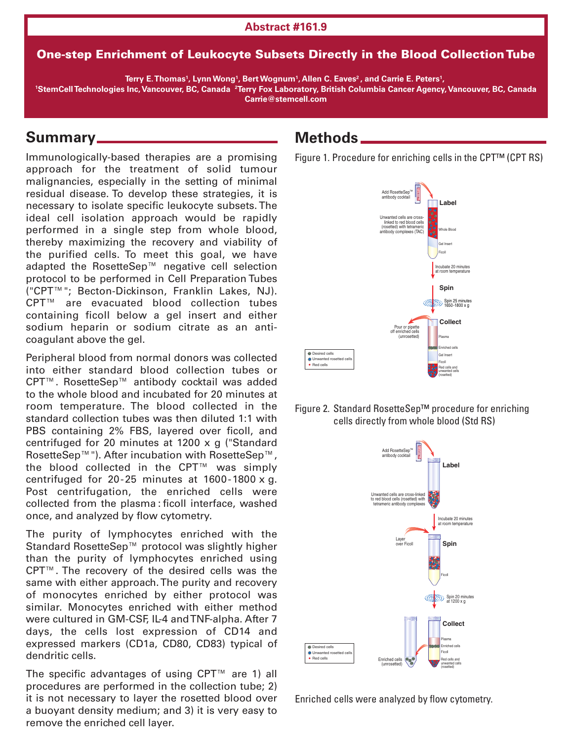#### **Abstract #161.9**

#### One-step Enrichment of Leukocyte Subsets Directly in the Blood CollectionTube

 $\mathbf{F}$  E.Thomas', Lynn Wong', Bert Wognum', Allen C. Eaves<sup>2</sup>, and Carrie E. Peters',

<sup>1</sup>StemCell Technologies Inc, Vancouver, BC, Canada <sup>2</sup>Terry Fox Laboratory, British Columbia Cancer Agency, Vancouver, BC, Canada **Carrie@stemcell.com**

### **Summary**

Immunologically-based therapies are a promising approach for the treatment of solid tumour malignancies, especially in the setting of minimal residual disease. To develop these strategies, it is necessary to isolate specific leukocyte subsets. The ideal cell isolation approach would be rapidly performed in a single step from whole blood, thereby maximizing the recovery and viability of the purified cells. To meet this goal, we have adapted the RosetteSep™ negative cell selection protocol to be performed in Cell Preparation Tubes ("CPT™"; Becton-Dickinson, Franklin Lakes, NJ). CPT™ are evacuated blood collection tubes containing ficoll below a gel insert and either sodium heparin or sodium citrate as an anticoagulant above the gel.

Peripheral blood from normal donors was collected into either standard blood collection tubes or CPT™. RosetteSep™ antibody cocktail was added to the whole blood and incubated for 20 minutes at room temperature. The blood collected in the standard collection tubes was then diluted 1:1 with PBS containing 2% FBS, layered over ficoll, and centrifuged for 20 minutes at 1200 x g ("Standard RosetteSep™"). After incubation with RosetteSep™, the blood collected in the CPT™ was simply centrifuged for 20-25 minutes at 1600-1800 x g. Post centrifugation, the enriched cells were collected from the plasma : ficoll interface, washed once, and analyzed by flow cytometry.

The purity of lymphocytes enriched with the Standard RosetteSep™ protocol was slightly higher than the purity of lymphocytes enriched using CPT™. The recovery of the desired cells was the same with either approach.The purity and recovery of monocytes enriched by either protocol was similar. Monocytes enriched with either method were cultured in GM-CSF, IL-4 andTNF-alpha. After 7 days, the cells lost expression of CD14 and expressed markers (CD1a, CD80, CD83) typical of dendritic cells.

The specific advantages of using CPT™ are 1) all procedures are performed in the collection tube; 2) it is not necessary to layer the rosetted blood over a buoyant density medium; and 3) it is very easy to remove the enriched cell layer.

## **Methods**

Figure 1. Procedure for enriching cells in the CPT™ (CPT RS)







Enriched cells were analyzed by flow cytometry.